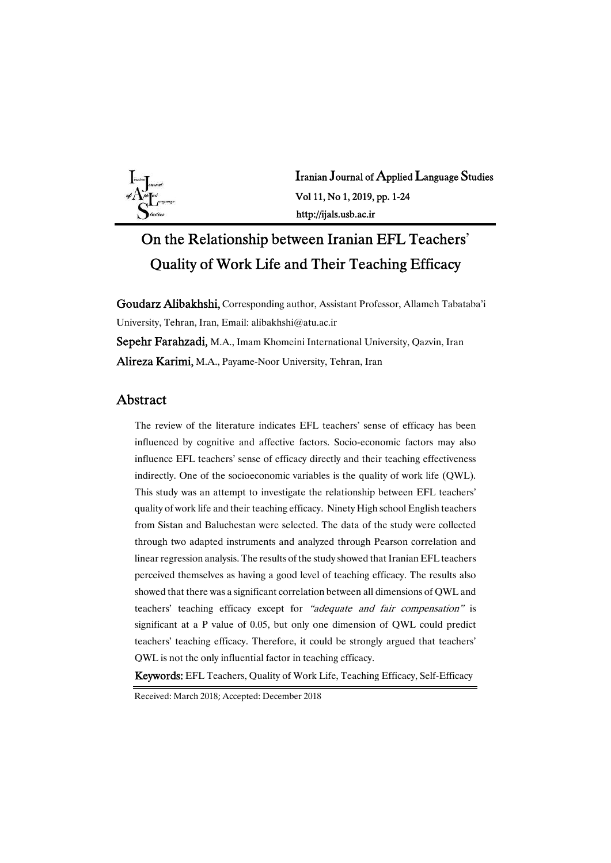

Iranian Journal of Applied Language Studies Vol 11, No 1, 2019, pp. 1-24 http://ijals.usb.ac.ir

# On the Relationship between Iranian EFL Teachers' Quality of Work Life and Their Teaching Efficacy

Goudarz Alibakhshi, Corresponding author, Assistant Professor, Allameh Tabataba'i University, Tehran, Iran, Email: alibakhshi@atu.ac.ir Sepehr Farahzadi, M.A., Imam Khomeini International University, Qazvin, Iran Alireza Karimi, M.A., Payame-Noor University, Tehran, Iran

### Abstract

The review of the literature indicates EFL teachers' sense of efficacy has been influenced by cognitive and affective factors. Socio-economic factors may also influence EFL teachers' sense of efficacy directly and their teaching effectiveness indirectly. One of the socioeconomic variables is the quality of work life (QWL). This study was an attempt to investigate the relationship between EFL teachers' quality of work life and their teaching efficacy. Ninety High school English teachers from Sistan and Baluchestan were selected. The data of the study were collected through two adapted instruments and analyzed through Pearson correlation and linear regression analysis. The results of the study showed that Iranian EFL teachers perceived themselves as having a good level of teaching efficacy. The results also showed that there was a significant correlation between all dimensions of QWL and teachers' teaching efficacy except for "adequate and fair compensation" is significant at a P value of 0.05, but only one dimension of QWL could predict teachers' teaching efficacy. Therefore, it could be strongly argued that teachers' QWL is not the only influential factor in teaching efficacy.

Keywords: EFL Teachers, Quality of Work Life, Teaching Efficacy, Self-Efficacy

Received: March 2018; Accepted: December 2018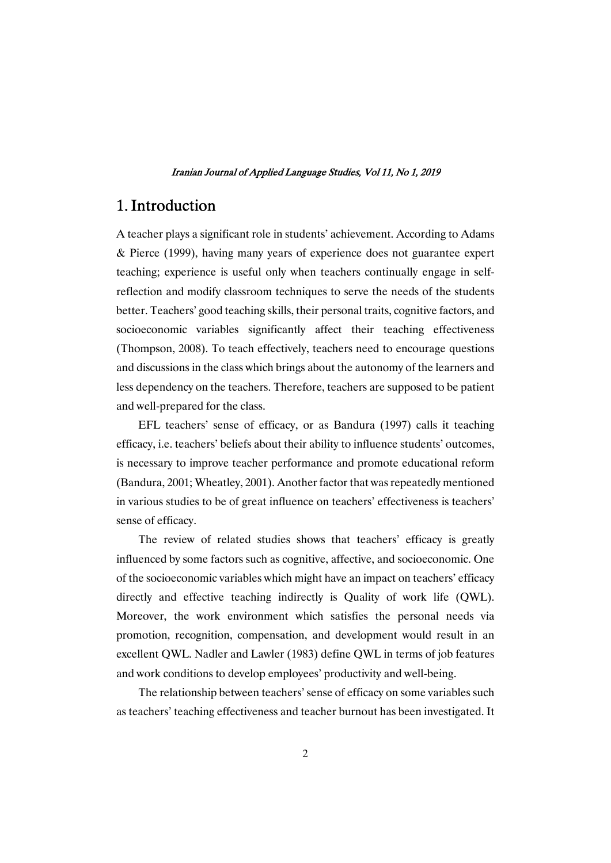# 1.Introduction

A teacher plays a significant role in students' achievement. According to Adams & Pierce (1999), having many years of experience does not guarantee expert teaching; experience is useful only when teachers continually engage in selfreflection and modify classroom techniques to serve the needs of the students better. Teachers' good teaching skills, their personal traits, cognitive factors, and socioeconomic variables significantly affect their teaching effectiveness (Thompson, 2008). To teach effectively, teachers need to encourage questions and discussions in the class which brings about the autonomy of the learners and less dependency on the teachers. Therefore, teachers are supposed to be patient and well-prepared for the class.

EFL teachers' sense of efficacy, or as Bandura (1997) calls it teaching efficacy, i.e. teachers' beliefs about their ability to influence students' outcomes, is necessary to improve teacher performance and promote educational reform (Bandura, 2001; Wheatley, 2001). Another factor that was repeatedly mentioned in various studies to be of great influence on teachers' effectiveness is teachers' sense of efficacy.

The review of related studies shows that teachers' efficacy is greatly influenced by some factors such as cognitive, affective, and socioeconomic. One of the socioeconomic variables which might have an impact on teachers' efficacy directly and effective teaching indirectly is Quality of work life (QWL). Moreover, the work environment which satisfies the personal needs via promotion, recognition, compensation, and development would result in an excellent QWL. Nadler and Lawler (1983) define QWL in terms of job features and work conditions to develop employees' productivity and well-being.

The relationship between teachers' sense of efficacy on some variables such as teachers' teaching effectiveness and teacher burnout has been investigated. It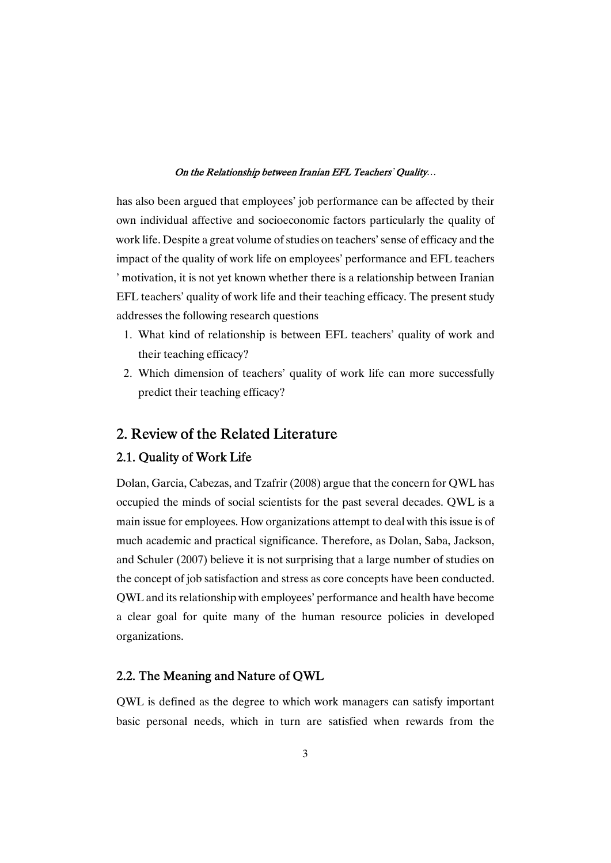has also been argued that employees' job performance can be affected by their own individual affective and socioeconomic factors particularly the quality of work life. Despite a great volume of studies on teachers' sense of efficacy and the impact of the quality of work life on employees' performance and EFL teachers ' motivation, it is not yet known whether there is a relationship between Iranian EFL teachers' quality of work life and their teaching efficacy. The present study addresses the following research questions

- 1. What kind of relationship is between EFL teachers' quality of work and their teaching efficacy?
- 2. Which dimension of teachers' quality of work life can more successfully predict their teaching efficacy?

# 2. Review of the Related Literature

### 2.1. Quality of Work Life

Dolan, Garcia, Cabezas, and Tzafrir (2008) argue that the concern for QWL has occupied the minds of social scientists for the past several decades. QWL is a main issue for employees. How organizations attempt to deal with this issue is of much academic and practical significance. Therefore, as Dolan, Saba, Jackson, and Schuler (2007) believe it is not surprising that a large number of studies on the concept of job satisfaction and stress as core concepts have been conducted. QWL and its relationship with employees' performance and health have become a clear goal for quite many of the human resource policies in developed organizations.

### 2.2. The Meaning and Nature of QWL

QWL is defined as the degree to which work managers can satisfy important basic personal needs, which in turn are satisfied when rewards from the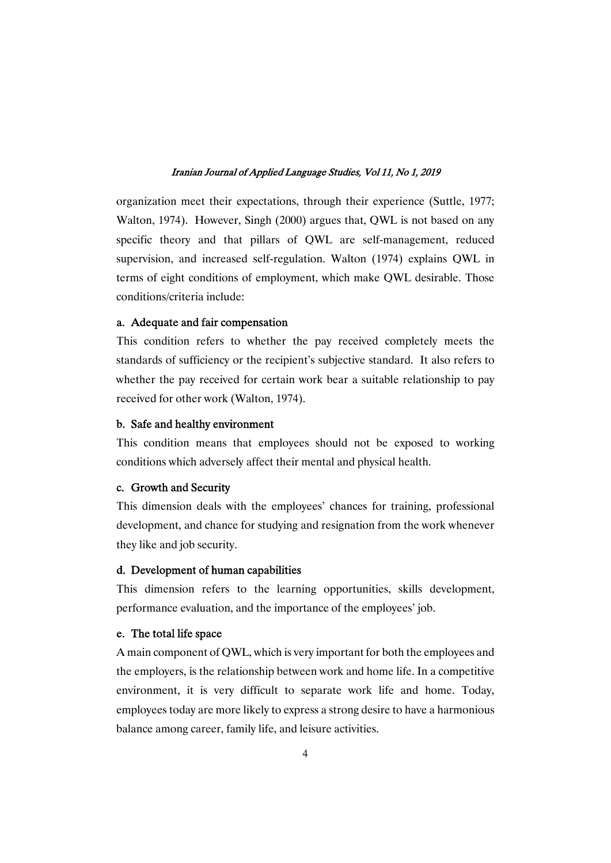organization meet their expectations, through their experience (Suttle, 1977; Walton, 1974). However, Singh (2000) argues that, OWL is not based on any specific theory and that pillars of QWL are self-management, reduced supervision, and increased self-regulation. Walton (1974) explains QWL in terms of eight conditions of employment, which make QWL desirable. Those conditions/criteria include:

### a. Adequate and fair compensation

This condition refers to whether the pay received completely meets the standards of sufficiency or the recipient's subjective standard. It also refers to whether the pay received for certain work bear a suitable relationship to pay received for other work (Walton, 1974).

### b. Safe and healthy environment

This condition means that employees should not be exposed to working conditions which adversely affect their mental and physical health.

### c. Growth and Security

This dimension deals with the employees' chances for training, professional development, and chance for studying and resignation from the work whenever they like and job security.

### d. Development of human capabilities

This dimension refers to the learning opportunities, skills development, performance evaluation, and the importance of the employees' job.

### e. The total life space

A main component of QWL, which is very important for both the employees and the employers, is the relationship between work and home life. In a competitive environment, it is very difficult to separate work life and home. Today, employees today are more likely to express a strong desire to have a harmonious balance among career, family life, and leisure activities.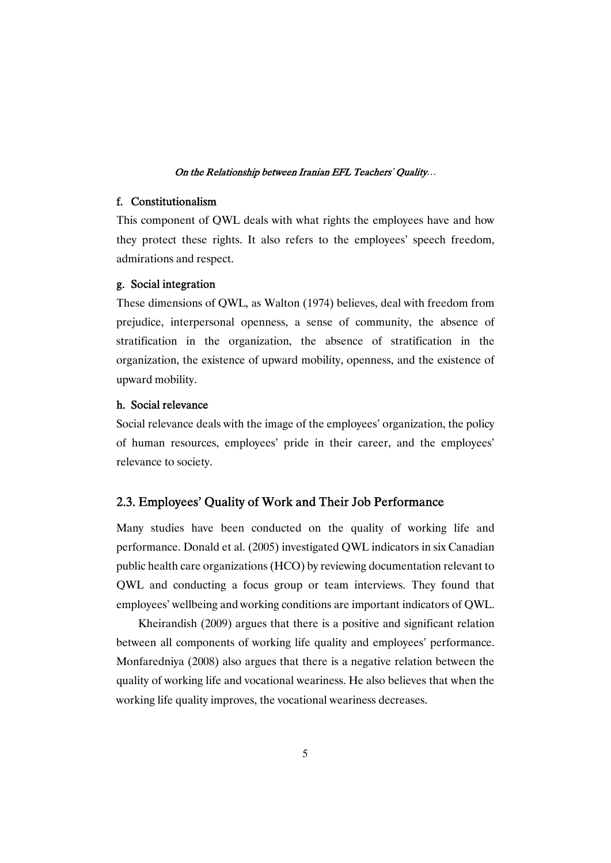### f. Constitutionalism

This component of OWL deals with what rights the employees have and how they protect these rights. It also refers to the employees' speech freedom, admirations and respect.

### g. Social integration

These dimensions of QWL, as Walton (1974) believes, deal with freedom from prejudice, interpersonal openness, a sense of community, the absence of stratification in the organization, the absence of stratification in the organization, the existence of upward mobility, openness, and the existence of upward mobility.

### h. Social relevance

Social relevance deals with the image of the employees' organization, the policy of human resources, employees' pride in their career, and the employees' relevance to society.

### 2.3. Employees' Quality of Work and Their Job Performance

Many studies have been conducted on the quality of working life and performance. Donald et al. (2005) investigated QWL indicators in six Canadian public health care organizations (HCO) by reviewing documentation relevant to QWL and conducting a focus group or team interviews. They found that employees' wellbeing and working conditions are important indicators of QWL.

Kheirandish (2009) argues that there is a positive and significant relation between all components of working life quality and employees' performance. Monfaredniya (2008) also argues that there is a negative relation between the quality of working life and vocational weariness. He also believes that when the working life quality improves, the vocational weariness decreases.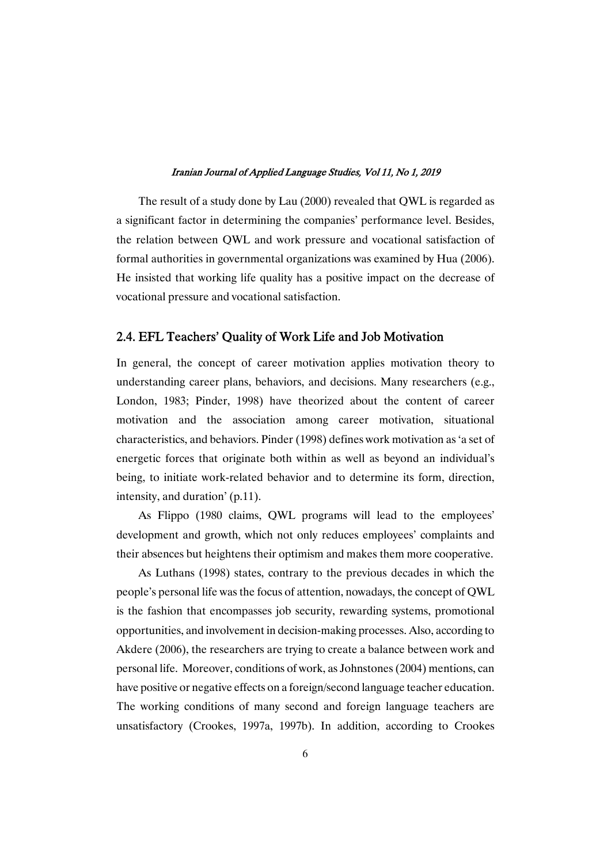The result of a study done by Lau (2000) revealed that QWL is regarded as a significant factor in determining the companies' performance level. Besides, the relation between QWL and work pressure and vocational satisfaction of formal authorities in governmental organizations was examined by Hua (2006). He insisted that working life quality has a positive impact on the decrease of vocational pressure and vocational satisfaction.

### 2.4. EFL Teachers' Quality of Work Life and Job Motivation

In general, the concept of career motivation applies motivation theory to understanding career plans, behaviors, and decisions. Many researchers (e.g., London, 1983; Pinder, 1998) have theorized about the content of career motivation and the association among career motivation, situational characteristics, and behaviors. Pinder (1998) defines work motivation as 'a set of energetic forces that originate both within as well as beyond an individual's being, to initiate work-related behavior and to determine its form, direction, intensity, and duration'  $(p.11)$ .

As Flippo (1980 claims, QWL programs will lead to the employees' development and growth, which not only reduces employees' complaints and their absences but heightens their optimism and makes them more cooperative.

As Luthans (1998) states, contrary to the previous decades in which the people's personal life was the focus of attention, nowadays, the concept of QWL is the fashion that encompasses job security, rewarding systems, promotional opportunities,andinvolvementindecision-makingprocesses.Also,accordingto Akdere (2006), the researchers are trying to create a balance between work and personal life. Moreover, conditions of work, as Johnstones (2004) mentions, can have positive or negative effects on a foreign/second language teacher education. The working conditions of many second and foreign language teachers are unsatisfactory (Crookes, 1997a, 1997b). In addition, according to Crookes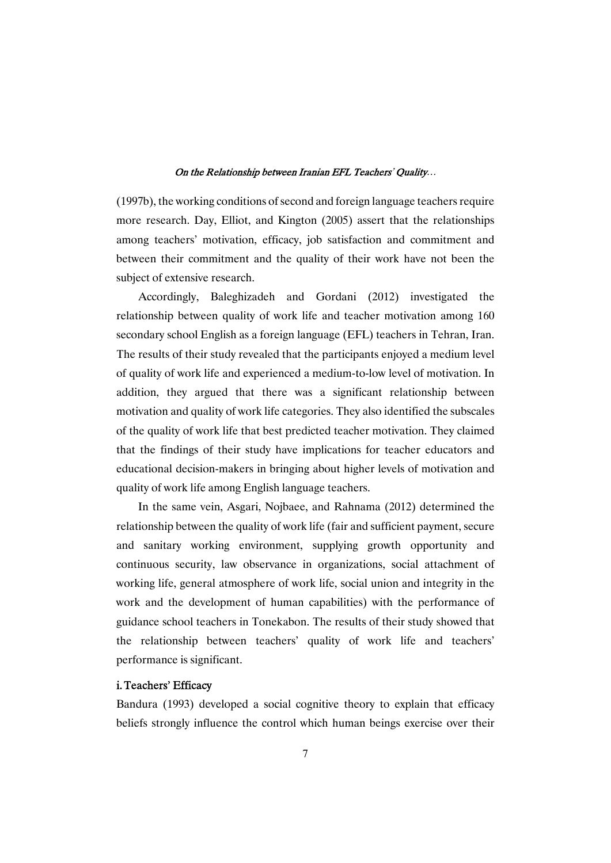(1997b), the working conditions of second and foreign language teachers require more research. Day, Elliot, and Kington (2005) assert that the relationships among teachers' motivation, efficacy, job satisfaction and commitment and between their commitment and the quality of their work have not been the subject of extensive research.

Accordingly, Baleghizadeh and Gordani (2012) investigated the relationship between quality of work life and teacher motivation among 160 secondary school English as a foreign language (EFL) teachers in Tehran, Iran. The results of their study revealed that the participants enjoyed a medium level of quality of work life and experienced a medium-to-low level of motivation. In addition, they argued that there was a significant relationship between motivation and quality of work life categories. They also identified the subscales of the quality of work life that best predicted teacher motivation. They claimed that the findings of their study have implications for teacher educators and educational decision-makers in bringing about higher levels of motivation and quality of work life among English language teachers.

In the same vein, Asgari, Nojbaee, and Rahnama (2012) determined the relationship between the quality of work life (fair and sufficient payment, secure and sanitary working environment, supplying growth opportunity and continuous security, law observance in organizations, social attachment of working life, general atmosphere of work life, social union and integrity in the work and the development of human capabilities) with the performance of guidance school teachers in Tonekabon. The results of their study showed that the relationship between teachers' quality of work life and teachers' performance is significant.

### i.Teachers'Efficacy

Bandura (1993) developed a social cognitive theory to explain that efficacy beliefs strongly influence the control which human beings exercise over their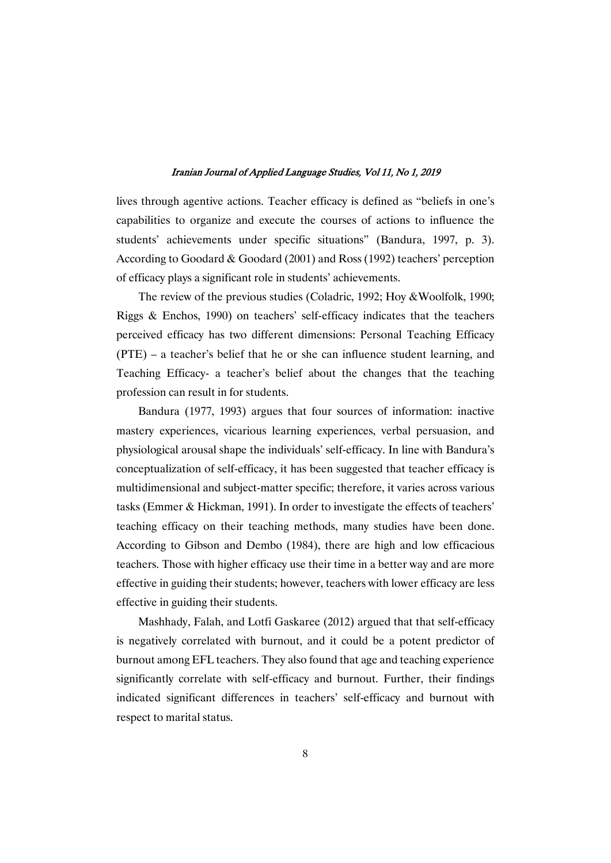lives through agentive actions. Teacher efficacy is defined as "beliefs in one's capabilities to organize and execute the courses of actions to influence the students' achievements under specific situations" (Bandura, 1997, p. 3). According to Goodard  $&$  Goodard (2001) and Ross (1992) teachers' perception of efficacy plays a significant role in students' achievements.

The review of the previous studies (Coladric, 1992; Hoy & Woolfolk, 1990; Riggs & Enchos, 1990) on teachers' self-efficacy indicates that the teachers perceived efficacy has two different dimensions: Personal Teaching Efficacy  $(PTE)$  – a teacher's belief that he or she can influence student learning, and Teaching Efficacy- a teacher's belief about the changes that the teaching profession can result in for students.

Bandura (1977, 1993) argues that four sources of information: inactive mastery experiences, vicarious learning experiences, verbal persuasion, and physiological arousal shape the individuals' self-efficacy. In line with Bandura's conceptualization of self-efficacy, it has been suggested that teacher efficacy is multidimensional and subject-matter specific; therefore, it varies across various tasks (Emmer & Hickman, 1991). In order to investigate the effects of teachers' teaching efficacy on their teaching methods, many studies have been done. According to Gibson and Dembo (1984), there are high and low efficacious teachers. Those with higher efficacy use their time in a better way and are more effective in guiding their students; however, teachers with lower efficacy are less effective in guiding their students.

Mashhady, Falah, and Lotfi Gaskaree (2012) argued that that self-efficacy is negatively correlated with burnout, and it could be a potent predictor of burnout among EFL teachers. They also found that age and teaching experience significantly correlate with self-efficacy and burnout. Further, their findings indicated significant differences in teachers' self-efficacy and burnout with respect to marital status.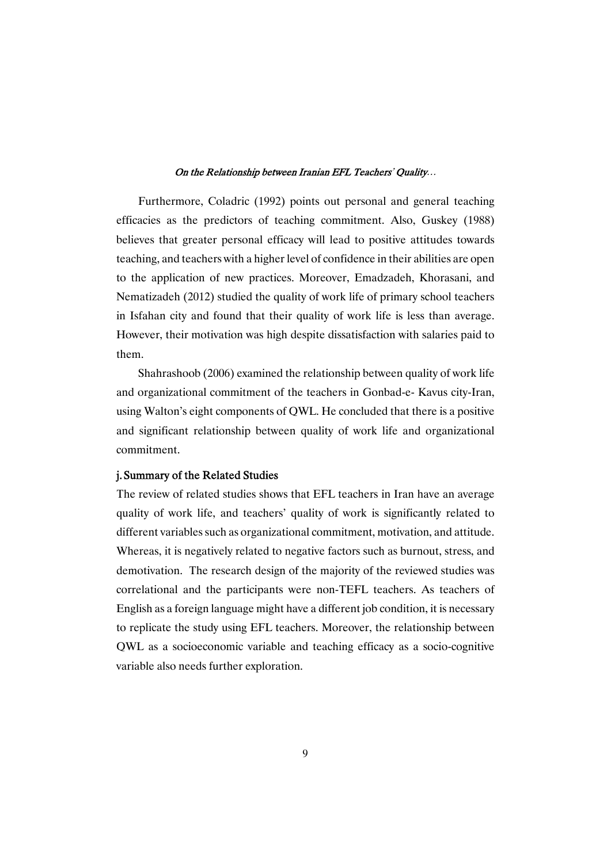Furthermore, Coladric (1992) points out personal and general teaching efficacies as the predictors of teaching commitment. Also, Guskey (1988) believes that greater personal efficacy will lead to positive attitudes towards teaching, and teachers with a higher level of confidence in their abilities are open to the application of new practices. Moreover, Emadzadeh, Khorasani, and Nematizadeh (2012) studied the quality of work life of primary school teachers in Isfahan city and found that their quality of work life is less than average. However, their motivation was high despite dissatisfaction with salaries paid to them.

Shahrashoob (2006) examined the relationship between quality of work life and organizational commitment of the teachers in Gonbad-e-Kavus city-Iran, using Walton's eight components of QWL. He concluded that there is a positive and significant relationship between quality of work life and organizational commitment.

### j. Summary of the Related Studies

The review of related studies shows that EFL teachers in Iran have an average quality of work life, and teachers' quality of work is significantly related to different variables such as organizational commitment, motivation, and attitude. Whereas, it is negatively related to negative factors such as burnout, stress, and demotivation. The research design of the majority of the reviewed studies was correlational and the participants were non-TEFL teachers. As teachers of English as a foreign language might have a different job condition, it is necessary to replicate the study using EFL teachers. Moreover, the relationship between QWL as a socioeconomic variable and teaching efficacy as a socio-cognitive variable also needs further exploration.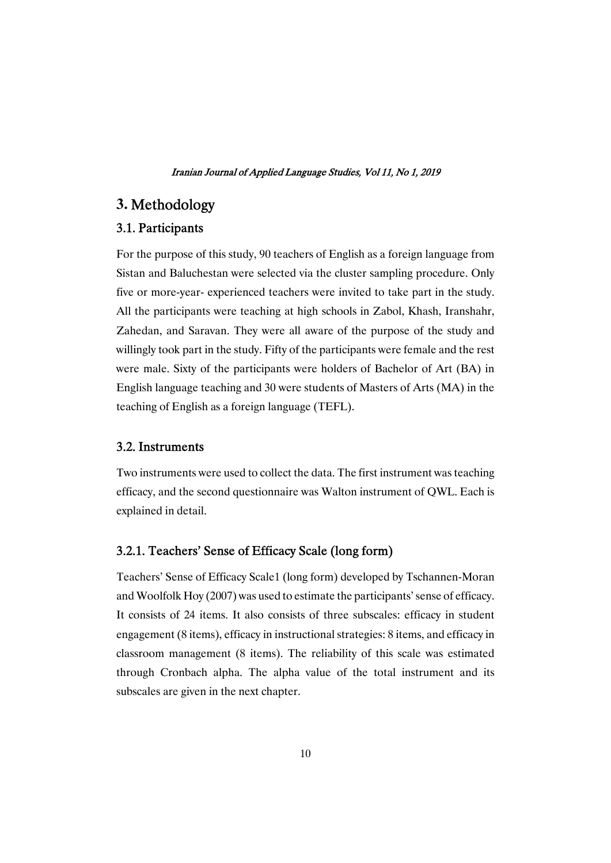# **3.** Methodology

### 3.1.Participants

For the purpose of this study, 90 teachers of English as a foreign language from Sistan and Baluchestan were selected via the cluster sampling procedure. Only five or more-year-experienced teachers were invited to take part in the study. All the participants were teaching at high schools in Zabol, Khash, Iranshahr, Zahedan, and Saravan. They were all aware of the purpose of the study and willingly took part in the study. Fifty of the participants were female and the rest were male. Sixty of the participants were holders of Bachelor of Art (BA) in English language teaching and 30 were students of Masters of Arts (MA) in the teaching of English as a foreign language (TEFL).

### 3.2.Instruments

Two instruments were used to collect the data. The first instrument was teaching efficacy, and the second questionnaire was Walton instrument of OWL. Each is explained in detail.

### 3.2.1. Teachers' Sense of Efficacy Scale (long form)

Teachers' Sense of Efficacy Scale1 (long form) developed by Tschannen-Moran and Woolfolk Hoy (2007) was used to estimate the participants' sense of efficacy. It consists of 24 items. It also consists of three subscales: efficacy in student engagement (8 items), efficacy in instructional strategies: 8 items, and efficacy in classroom management (8 items). The reliability of this scale was estimated through Cronbach alpha. The alpha value of the total instrument and its subscales are given in the next chapter.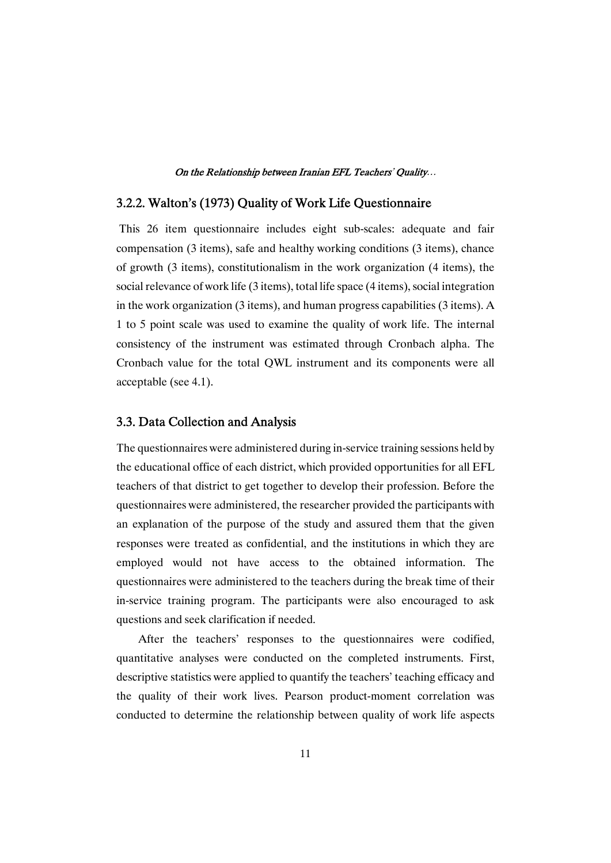### 3.2.2. Walton's (1973) Quality of Work Life Questionnaire

This 26 item questionnaire includes eight sub-scales: adequate and fair compensation  $(3$  items), safe and healthy working conditions  $(3$  items), chance of growth  $(3$  items), constitutionalism in the work organization  $(4$  items), the social relevance of work life  $(3$  items), total life space  $(4$  items), social integration in the work organization (3 items), and human progress capabilities (3 items). A 1 to 5 point scale was used to examine the quality of work life. The internal consistency of the instrument was estimated through Cronbach alpha. The Cronbach value for the total QWL instrument and its components were all acceptable (see 4.1).

### 3.3. Data Collection and Analysis

The questionnaires were administered during in-service training sessions held by the educational office of each district, which provided opportunities for all EFL teachers of that district to get together to develop their profession. Before the questionnaires were administered, the researcher provided the participants with an explanation of the purpose of the study and assured them that the given responses were treated as confidential, and the institutions in which they are employed would not have access to the obtained information. The questionnaires were administered to the teachers during the break time of their in-service training program. The participants were also encouraged to ask questions and seek clarification if needed.

After the teachers' responses to the questionnaires were codified, quantitative analyses were conducted on the completed instruments. First, descriptive statistics were applied to quantify the teachers' teaching efficacy and the quality of their work lives. Pearson product-moment correlation was conducted to determine the relationship between quality of work life aspects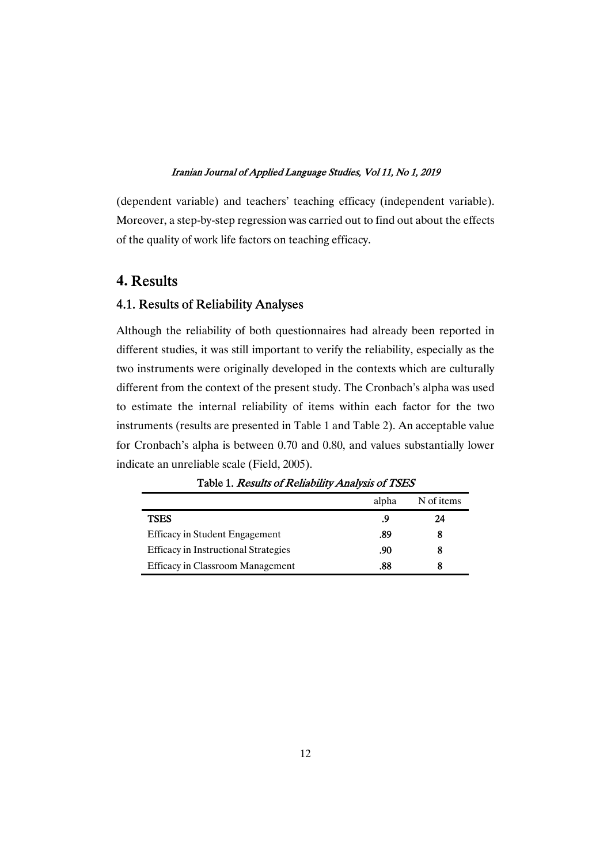(dependent variable) and teachers' teaching efficacy (independent variable). Moreover, a step-by-step regression was carried out to find out about the effects of the quality of work life factors on teaching efficacy.

# **4.** Results

### 4.1. Results of Reliability Analyses

Although the reliability of both questionnaires had already been reported in different studies, it was still important to verify the reliability, especially as the two instruments were originally developed in the contexts which are culturally different from the context of the present study. The Cronbach's alpha was used to estimate the internal reliability of items within each factor for the two instruments (results are presented in Table 1 and Table 2). An acceptable value for Cronbach's alpha is between  $0.70$  and  $0.80$ , and values substantially lower indicate an unreliable scale (Field, 2005).

|                                             | alpha | N of items |
|---------------------------------------------|-------|------------|
| <b>TSES</b>                                 | .9    | 24         |
| Efficacy in Student Engagement              | .89   |            |
| <b>Efficacy in Instructional Strategies</b> | .90   |            |
| <b>Efficacy in Classroom Management</b>     | .88   |            |

Table 1. Results of Reliability Analysis of TSES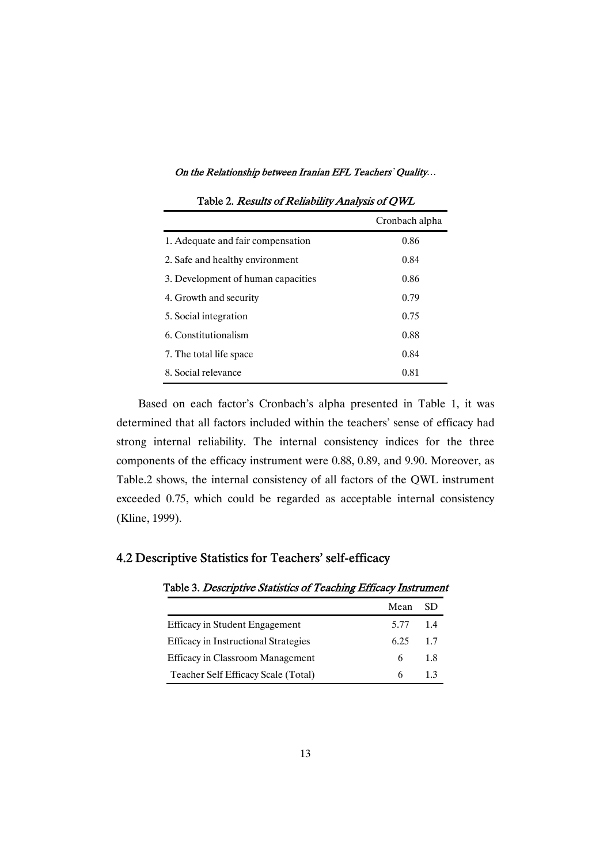|                                    | Cronbach alpha |
|------------------------------------|----------------|
| 1. Adequate and fair compensation  | 0.86           |
| 2. Safe and healthy environment    | 0.84           |
| 3. Development of human capacities | 0.86           |
| 4. Growth and security             | 0.79           |
| 5. Social integration              | 0.75           |
| 6. Constitutionalism               | 0.88           |
| 7. The total life space            | 0.84           |
| 8. Social relevance                | 0.81           |

Table 2. Results of Reliability Analysis of OWL

Based on each factor's Cronbach's alpha presented in Table 1, it was determined that all factors included within the teachers' sense of efficacy had strong internal reliability. The internal consistency indices for the three components of the efficacy instrument were 0.88, 0.89, and 9.90. Moreover, as Table.2 shows, the internal consistency of all factors of the QWL instrument exceeded 0.75, which could be regarded as acceptable internal consistency (Kline, 1999).

# 4.2 Descriptive Statistics for Teachers' self-efficacy

### Table 3. Descriptive Statistics of Teaching Efficacy Instrument

|                                             | Mean     | -SD |
|---------------------------------------------|----------|-----|
| <b>Efficacy in Student Engagement</b>       | 5.77 1.4 |     |
| <b>Efficacy in Instructional Strategies</b> | 625      | 1.7 |
| Efficacy in Classroom Management            | 6.       | -18 |
| Teacher Self Efficacy Scale (Total)         | 6.       | 13  |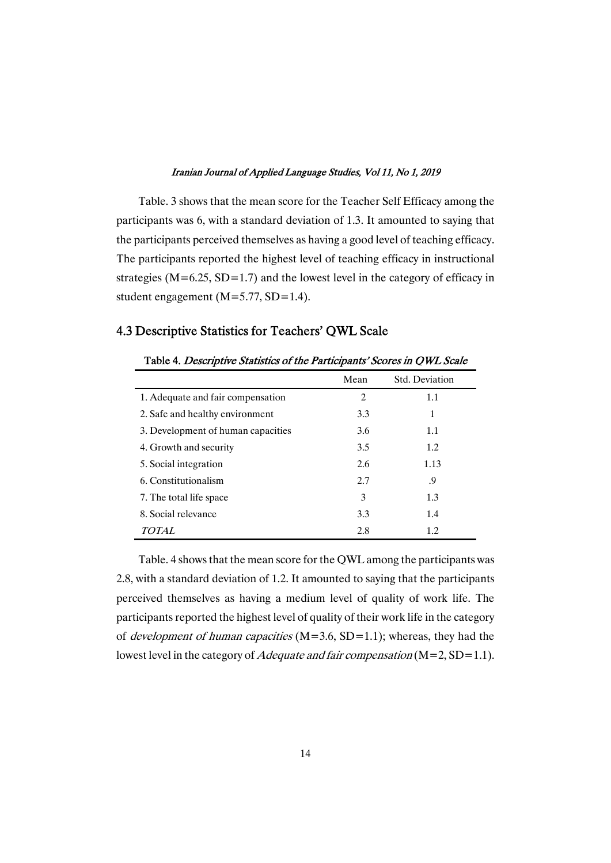Table. 3 shows that the mean score for the Teacher Self Efficacy among the participants was 6, with a standard deviation of 1.3. It amounted to saying that the participants perceived themselves as having a good level of teaching efficacy. The participants reported the highest level of teaching efficacy in instructional strategies ( $M=6.25$ ,  $SD=1.7$ ) and the lowest level in the category of efficacy in student engagement ( $M = 5.77$ , SD=1.4).

### 4.3 Descriptive Statistics for Teachers' QWL Scale

|                                    | Mean | Std. Deviation |
|------------------------------------|------|----------------|
| 1. Adequate and fair compensation  | 2    | 1.1            |
| 2. Safe and healthy environment    | 3.3  | 1              |
| 3. Development of human capacities | 3.6  | 1.1            |
| 4. Growth and security             | 3.5  | 1.2            |
| 5. Social integration              | 2.6  | 1.13           |
| 6. Constitutionalism               | 2.7  | .9             |
| 7. The total life space            | 3    | 1.3            |
| 8. Social relevance                | 3.3  | 1.4            |
| <i>TOTAL</i>                       | 2.8  | 1.2            |

Table 4. Descriptive Statistics of the Participants' Scores in OWL Scale

Table. 4 shows that the mean score for the QWL among the participants was 2.8, with a standard deviation of 1.2. It amounted to saying that the participants perceived themselves as having a medium level of quality of work life. The participants reported the highest level of quality of their work life in the category of *development of human capacities* ( $M=3.6$ ,  $SD=1.1$ ); whereas, they had the lowest level in the category of *Adequate and fair compensation* ( $M=2$ ,  $SD=1.1$ ).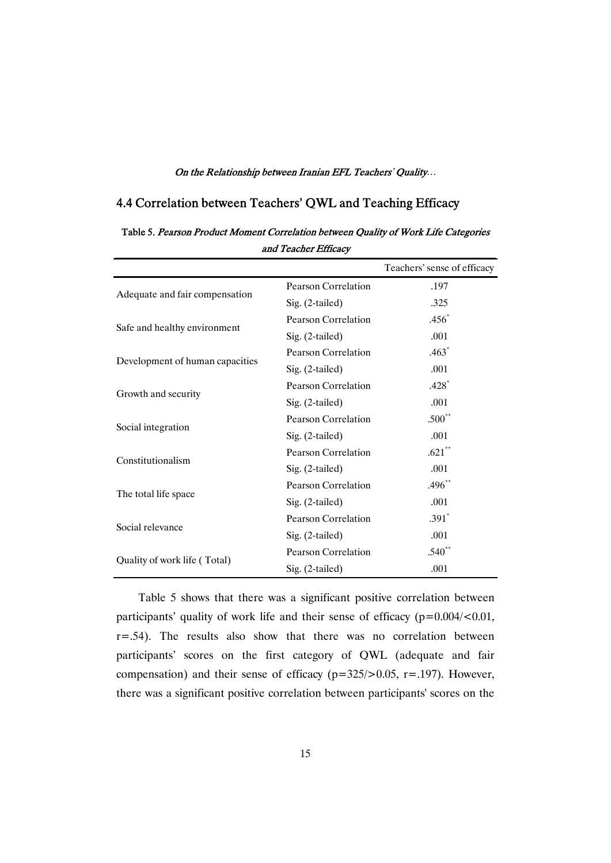# 4.4 Correlation between Teachers' QWL and Teaching Efficacy

|                                 |                     | Teachers' sense of efficacy |
|---------------------------------|---------------------|-----------------------------|
|                                 | Pearson Correlation | .197                        |
| Adequate and fair compensation  | Sig. (2-tailed)     | .325                        |
|                                 | Pearson Correlation | $.456*$                     |
| Safe and healthy environment    | Sig. $(2$ -tailed)  | .001                        |
|                                 | Pearson Correlation | $.463*$                     |
| Development of human capacities | Sig. (2-tailed)     | .001                        |
|                                 | Pearson Correlation | $.428*$                     |
| Growth and security             | Sig. $(2$ -tailed)  | .001                        |
|                                 | Pearson Correlation | $.500**$                    |
| Social integration              | Sig. $(2$ -tailed)  | .001                        |
| Constitutionalism               | Pearson Correlation | $.621**$                    |
|                                 | Sig. $(2$ -tailed)  | .001                        |
|                                 | Pearson Correlation | $.496**$                    |
| The total life space            | Sig. (2-tailed)     | .001                        |
| Social relevance                | Pearson Correlation | $.391*$                     |
|                                 | Sig. (2-tailed)     | .001                        |
|                                 | Pearson Correlation | $.540**$                    |
| Quality of work life (Total)    | Sig. (2-tailed)     | .001                        |

Table 5. Pearson Product Moment Correlation between Quality of Work Life Categories and Teacher Efficacy

Table 5 shows that there was a significant positive correlation between participants' quality of work life and their sense of efficacy  $(p=0.004/\langle 0.01,$  $r = .54$ ). The results also show that there was no correlation between participants' scores on the first category of QWL (adequate and fair compensation) and their sense of efficacy  $(p=325/>0.05, r=.197)$ . However, there was a significant positive correlation between participants' scores on the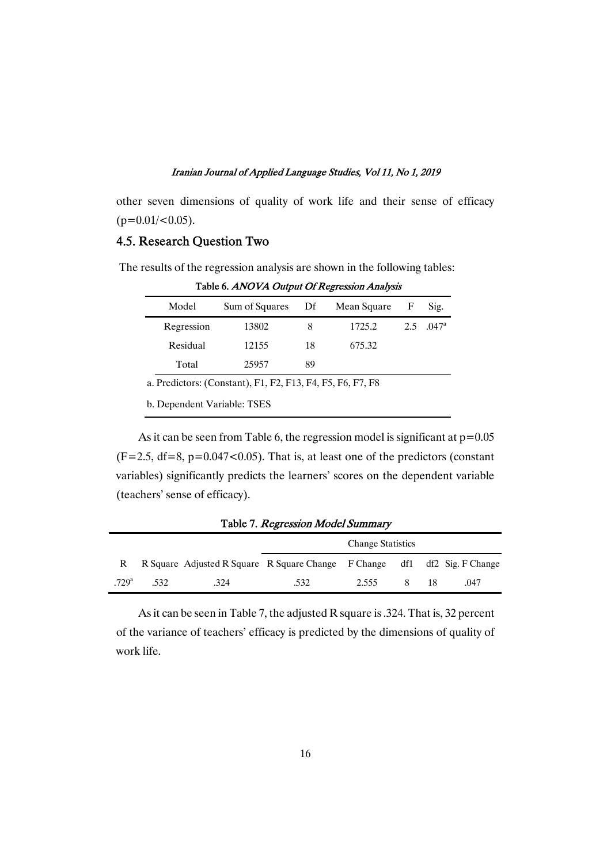other seven dimensions of quality of work life and their sense of efficacy  $(p=0.01/\leq 0.05)$ .

### 4.5. Research Ouestion Two

| The results of the regression analysis are shown in the following tables: |
|---------------------------------------------------------------------------|
| Table 6. ANOVA Output Of Regression Analysis                              |

| Model      | Sum of Squares                                             | Df | Mean Square | F   | Sig.  |
|------------|------------------------------------------------------------|----|-------------|-----|-------|
| Regression | 13802                                                      | 8  | 1725.2      | 2.5 | .047a |
| Residual   | 12155                                                      | 18 | 675.32      |     |       |
| Total      | 25957                                                      | 89 |             |     |       |
|            | a. Predictors: (Constant), F1, F2, F13, F4, F5, F6, F7, F8 |    |             |     |       |

b. Dependent Variable: TSES

As it can be seen from Table 6, the regression model is significant at  $p=0.05$  $(F=2.5, df=8, p=0.047<0.05)$ . That is, at least one of the predictors (constant variables) significantly predicts the learners' scores on the dependent variable (teachers'senseofefficacy).

| $-$ we see the second contract in the second contract of $\theta$ |      |                                                                           |      |                          |      |      |
|-------------------------------------------------------------------|------|---------------------------------------------------------------------------|------|--------------------------|------|------|
|                                                                   |      |                                                                           |      | <b>Change Statistics</b> |      |      |
|                                                                   |      | R Square Adjusted R Square R Square Change F Change df1 df2 Sig. F Change |      |                          |      |      |
| $-729$ <sup>a</sup>                                               | .532 | .324                                                                      | .532 | 2.555                    | 8 18 | .047 |

Table 7. Regression Model Summary

As it can be seen in Table 7, the adjusted R square is .324. That is, 32 percent of the variance of teachers' efficacy is predicted by the dimensions of quality of work life.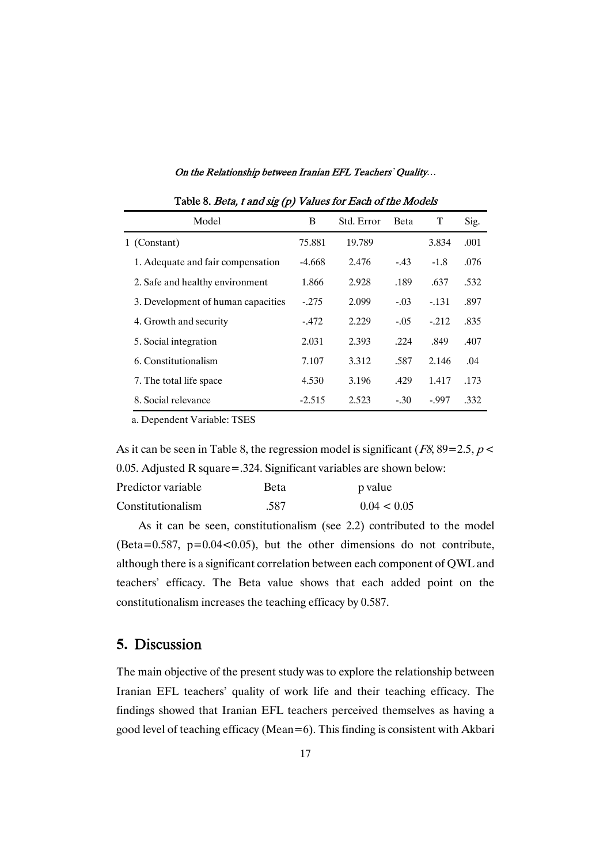| On the Relationship between Iranian EFL Teachers' Quality |  |  |  |
|-----------------------------------------------------------|--|--|--|
|-----------------------------------------------------------|--|--|--|

| Model                              | B        | Std. Error | <b>Beta</b> | T      | Sig. |
|------------------------------------|----------|------------|-------------|--------|------|
| 1 (Constant)                       | 75.881   | 19.789     |             | 3.834  | .001 |
| 1. Adequate and fair compensation  | -4.668   | 2.476      | $-43$       | $-1.8$ | .076 |
| 2. Safe and healthy environment    | 1.866    | 2.928      | .189        | .637   | .532 |
| 3. Development of human capacities | $-0.275$ | 2.099      | $-.03$      | $-131$ | .897 |
| 4. Growth and security             | $-472$   | 2.229      | $-.05$      | $-212$ | .835 |
| 5. Social integration              | 2.031    | 2.393      | .224        | .849   | .407 |
| 6. Constitutionalism               | 7.107    | 3.312      | .587        | 2.146  | .04  |
| 7. The total life space            | 4.530    | 3.196      | .429        | 1.417  | .173 |
| 8. Social relevance                | $-2.515$ | 2.523      | $-.30$      | $-997$ | .332 |

Table 8. Beta,  $t$  and sig (p) Values for Each of the Models

a. Dependent Variable: TSES

As it can be seen in Table 8, the regression model is significant ( $F8$ ,  $89=2.5$ ,  $p <$ 0.05. Adjusted R square=.324. Significant variables are shown below:

| Predictor variable | Beta | p value     |
|--------------------|------|-------------|
| Constitutionalism  | .587 | 0.04 < 0.05 |

As it can be seen, constitutionalism (see 2.2) contributed to the model (Beta=0.587,  $p=0.04<0.05$ ), but the other dimensions do not contribute, although there is a significant correlation between each component of QWL and teachers' efficacy. The Beta value shows that each added point on the constitutionalism increases the teaching efficacy by 0.587.

### **5.** Discussion

The main objective of the present study was to explore the relationship between Iranian EFL teachers' quality of work life and their teaching efficacy. The findings showed that Iranian EFL teachers perceived themselves as having a good level of teaching efficacy (Mean=6). This finding is consistent with Akbari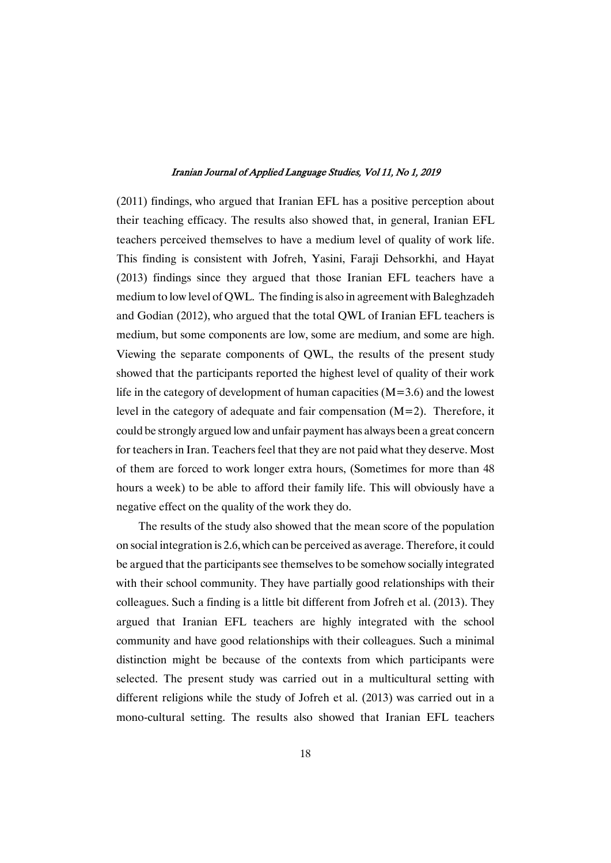$(2011)$  findings, who argued that Iranian EFL has a positive perception about their teaching efficacy. The results also showed that, in general, Iranian EFL teachers perceived themselves to have a medium level of quality of work life. This finding is consistent with Jofreh, Yasini, Faraji Dehsorkhi, and Hayat (2013) findings since they argued that those Iranian EFL teachers have a medium to low level of QWL. The finding is also in agreement with Baleghzadeh and Godian  $(2012)$ , who argued that the total QWL of Iranian EFL teachers is medium, but some components are low, some are medium, and some are high. Viewing the separate components of QWL, the results of the present study showed that the participants reported the highest level of quality of their work life in the category of development of human capacities ( $M=3.6$ ) and the lowest level in the category of adequate and fair compensation  $(M=2)$ . Therefore, it could be strongly argued low and unfair payment has always been a great concern for teachers in Iran. Teachers feel that they are not paid what they deserve. Most of them are forced to work longer extra hours, (Sometimes for more than 48 hours a week) to be able to afford their family life. This will obviously have a negative effect on the quality of the work they do.

The results of the study also showed that the mean score of the population on social integration is 2.6, which can be perceived as average. Therefore, it could be argued that the participants see themselves to be somehow socially integrated with their school community. They have partially good relationships with their colleagues. Such a finding is a little bit different from Jofreh et al. (2013). They argued that Iranian EFL teachers are highly integrated with the school community and have good relationships with their colleagues. Such a minimal distinction might be because of the contexts from which participants were selected. The present study was carried out in a multicultural setting with different religions while the study of Jofreh et al.  $(2013)$  was carried out in a mono-cultural setting. The results also showed that Iranian EFL teachers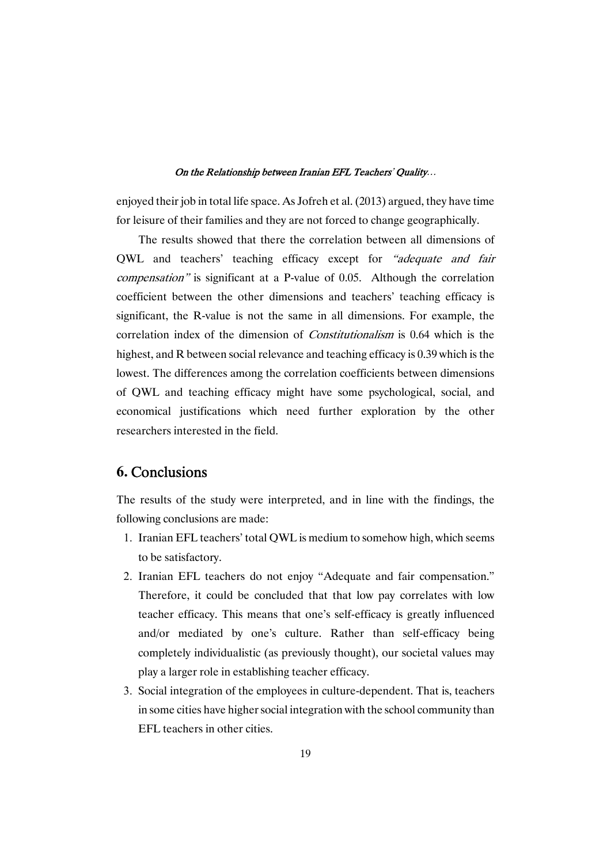enjoyed their job in total life space. As Jofreh et al. (2013) argued, they have time for leisure of their families and they are not forced to change geographically.

The results showed that there the correlation between all dimensions of QWL and teachers' teaching efficacy except for "adequate and fair compensation" is significant at a P-value of 0.05. Although the correlation coefficient between the other dimensions and teachers' teaching efficacy is significant, the R-value is not the same in all dimensions. For example, the correlation index of the dimension of Constitutionalism is 0.64 which is the highest, and R between social relevance and teaching efficacy is 0.39 which is the lowest. The differences among the correlation coefficients between dimensions of QWL and teaching efficacy might have some psychological, social, and economical justifications which need further exploration by the other researchers interested in the field.

# **6.** Conclusions

The results of the study were interpreted, and in line with the findings, the following conclusions are made:

- 1. Iranian EFL teachers' total OWL is medium to somehow high, which seems to be satisfactory.
- 2. Iranian EFL teachers do not enjoy "Adequate and fair compensation." Therefore, it could be concluded that that low pay correlates with low teacher efficacy. This means that one's self-efficacy is greatly influenced and/or mediated by one's culture. Rather than self-efficacy being completely individualistic (as previously thought), our societal values may play a larger role in establishing teacher efficacy.
- 3. Social integration of the employees in culture-dependent. That is, teachers in some cities have higher social integration with the school community than EFL teachers in other cities.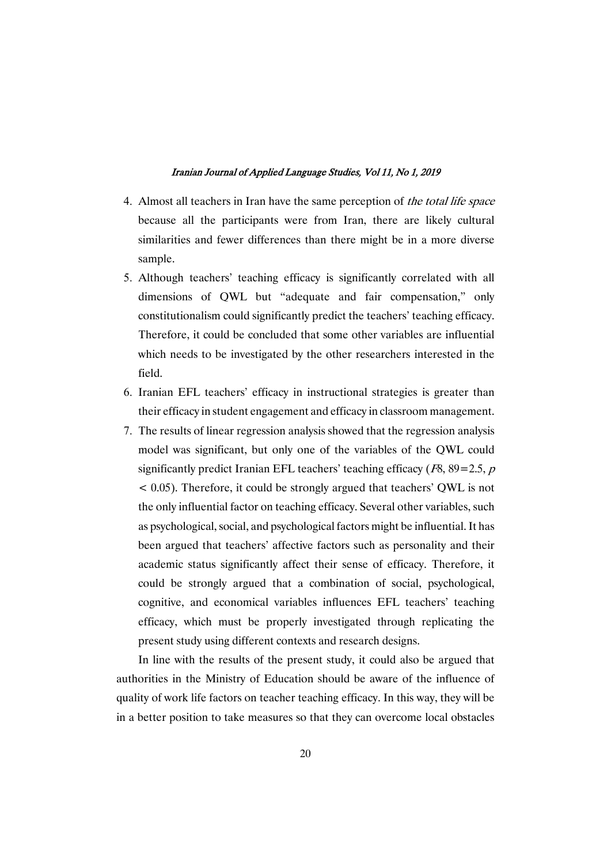- 4. Almost all teachers in Iran have the same perception of the total life space because all the participants were from Iran, there are likely cultural similarities and fewer differences than there might be in a more diverse sample.
- 5. Although teachers' teaching efficacy is significantly correlated with all dimensions of QWL but "adequate and fair compensation," only constitutionalism could significantly predict the teachers' teaching efficacy. Therefore, it could be concluded that some other variables are influential which needs to be investigated by the other researchers interested in the field.
- 6. Iranian EFL teachers' efficacy in instructional strategies is greater than their efficacy in student engagement and efficacy in classroom management.
- 7. The results of linear regression analysis showed that the regression analysis model was significant, but only one of the variables of the QWL could significantly predict Iranian EFL teachers' teaching efficacy ( $F8,89=2.5, p$ )  $\leq$  0.05). Therefore, it could be strongly argued that teachers' OWL is not the only influential factor on teaching efficacy. Several other variables, such as psychological, social, and psychological factors might be influential. It has been argued that teachers' affective factors such as personality and their academic status significantly affect their sense of efficacy. Therefore, it could be strongly argued that a combination of social, psychological, cognitive, and economical variables influences EFL teachers' teaching efficacy, which must be properly investigated through replicating the present study using different contexts and research designs.

In line with the results of the present study, it could also be argued that authorities in the Ministry of Education should be aware of the influence of quality of work life factors on teacher teaching efficacy. In this way, they will be in a better position to take measures so that they can overcome local obstacles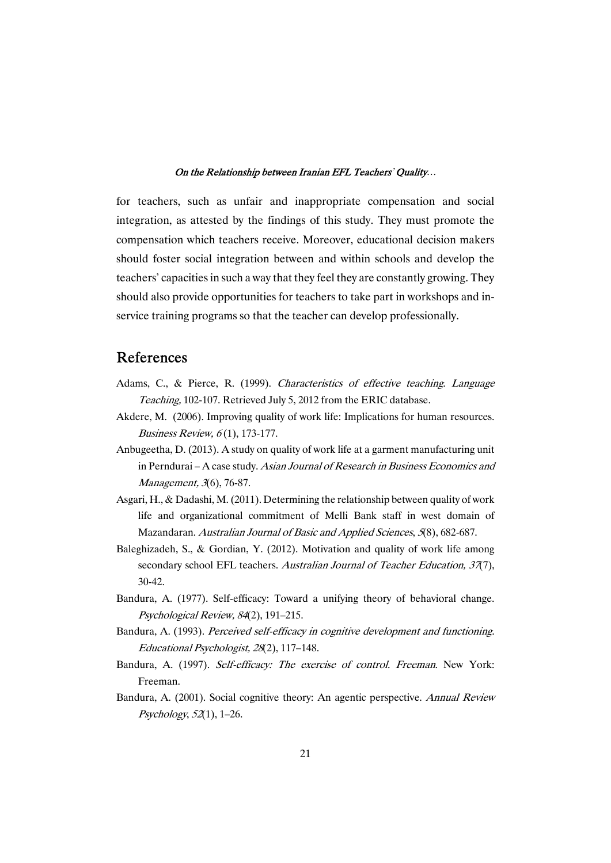for teachers, such as unfair and inappropriate compensation and social integration, as attested by the findings of this study. They must promote the compensation which teachers receive. Moreover, educational decision makers should foster social integration between and within schools and develop the teachers' capacities in such a way that they feel they are constantly growing. They should also provide opportunities for teachers to take part in workshops and inservice training programs so that the teacher can develop professionally.

# References

- Adams, C., & Pierce, R. (1999). Characteristics of effective teaching. Language Teaching, 102-107. Retrieved July 5, 2012 from the ERIC database.
- Akdere, M. (2006). Improving quality of work life: Implications for human resources. Business Review, 6(1), 173-177.
- Anbugeetha, D. (2013). A study on quality of work life at a garment manufacturing unit in Perndurai – A case study. Asian Journal of Research in Business Economics and Management, 3(6), 76-87.
- Asgari, H., & Dadashi, M. (2011). Determining the relationship between quality of work life and organizational commitment of Melli Bank staff in west domain of Mazandaran. Australian Journal of Basic and Applied Sciences, 5(8), 682-687.
- Baleghizadeh, S., & Gordian, Y. (2012). Motivation and quality of work life among secondary school EFL teachers. Australian Journal of Teacher Education, 37(7), 30-42.
- Bandura, A. (1977). Self-efficacy: Toward a unifying theory of behavioral change. Psychological Review, 84(2), 191-215.
- Bandura, A. (1993). Perceived self-efficacy in cognitive development and functioning. Educational Psychologist, 28(2), 117-148.
- Bandura, A. (1997). Self-efficacy: The exercise of control. Freeman. New York: Freeman.
- Bandura, A. (2001). Social cognitive theory: An agentic perspective. Annual Review Psychology, 52(1), 1-26.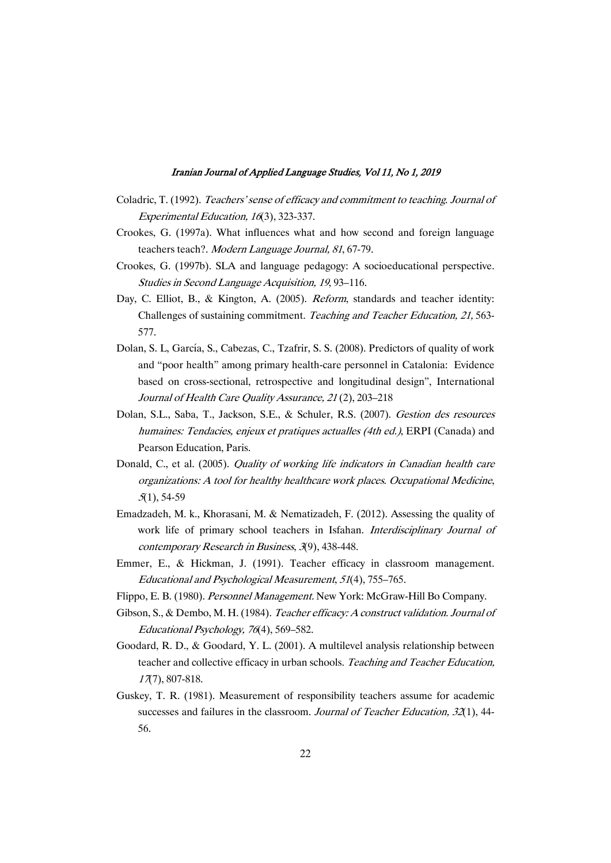- Coladric, T. (1992). Teachers' sense of efficacy and commitment to teaching. Journal of Experimental Education, 16(3), 323-337.
- Crookes, G. (1997a). What influences what and how second and foreign language teachers teach?. Modern Language Journal, 81, 67-79.
- Crookes, G. (1997b). SLA and language pedagogy: A socioeducational perspective. Studies in Second Language Acquisition, 19, 93-116.
- Day, C. Elliot, B., & Kington, A. (2005). *Reform*, standards and teacher identity: Challenges of sustaining commitment. Teaching and Teacher Education, 21, 563-577.
- Dolan, S. L, García, S., Cabezas, C., Tzafrir, S. S. (2008). Predictors of quality of work and "poor health" among primary health-care personnel in Catalonia: Evidence based on cross-sectional, retrospective and longitudinal design", International Journal of Health Care Quality Assurance, 21(2), 203-218
- Dolan, S.L., Saba, T., Jackson, S.E., & Schuler, R.S. (2007). Gestion des resources humaines: Tendacies, enjeux et pratiques actualles (4th ed.), ERPI (Canada) and Pearson Education, Paris.
- Donald, C., et al. (2005). Quality of working life indicators in Canadian health care organizations: A tool for healthy healthcare work places. Occupational Medicine,  $5(1)$ , 54-59
- Emadzadeh, M. k., Khorasani, M. & Nematizadeh, F. (2012). Assessing the quality of work life of primary school teachers in Isfahan. Interdisciplinary Journal of contemporary Research in Business, 3(9), 438-448.
- Emmer, E., & Hickman, J. (1991). Teacher efficacy in classroom management. Educational and Psychological Measurement, 51(4), 755–765.
- Flippo, E. B. (1980). Personnel Management. New York: McGraw-Hill Bo Company.
- Gibson, S., & Dembo, M. H. (1984). Teacher efficacy: A construct validation. Journal of Educational Psychology, 76(4), 569–582.
- Goodard, R.D., & Goodard, Y.L. (2001). A multilevel analysis relationship between teacher and collective efficacy in urban schools. Teaching and Teacher Education, <sup>17</sup>(7),807-818.
- Guskey, T. R. (1981). Measurement of responsibility teachers assume for academic successes and failures in the classroom. Journal of Teacher Education, 32(1), 44-56.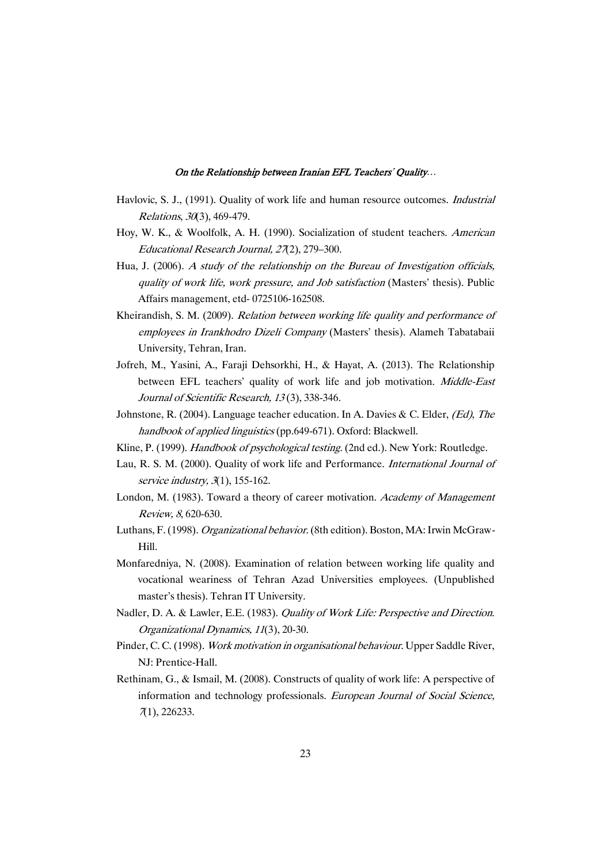- Havlovic, S. J., (1991). Quality of work life and human resource outcomes. Industrial Relations,30(3),469-479.
- Hoy, W. K., & Woolfolk, A. H. (1990). Socialization of student teachers. American Educational Research Journal, 27(2), 279-300.
- Hua, J. (2006). A study of the relationship on the Bureau of Investigation officials, quality of work life, work pressure, and Job satisfaction (Masters' thesis). Public Affairs management, etd-0725106-162508.
- Kheirandish, S. M. (2009). Relation between working life quality and performance of employees in Irankhodro Dizeli Company (Masters' thesis). Alameh Tabatabaii University, Tehran, Iran.
- Jofreh, M., Yasini, A., Faraji Dehsorkhi, H., & Hayat, A. (2013). The Relationship between EFL teachers' quality of work life and job motivation. Middle-East Journal of Scientific Research, 13(3), 338-346.
- Johnstone, R. (2004). Language teacher education. In A. Davies & C. Elder, (Ed), The handbook of applied linguistics (pp.649-671). Oxford: Blackwell.
- Kline, P. (1999). Handbook of psychological testing. (2nd ed.). New York: Routledge.
- Lau, R. S. M. (2000). Quality of work life and Performance. International Journal of service industry,  $3(1)$ , 155-162.
- London, M. (1983). Toward a theory of career motivation. Academy of Management Review, 8, 620-630.
- Luthans, F. (1998). Organizational behavior. (8th edition). Boston, MA: Irwin McGraw-Hill.
- Monfaredniya, N. (2008). Examination of relation between working life quality and vocational weariness of Tehran Azad Universities employees. (Unpublished master's thesis). Tehran IT University.
- Nadler, D. A. & Lawler, E.E. (1983). *Quality of Work Life: Perspective and Direction*. Organizational Dynamics, 11(3), 20-30.
- Pinder, C.C. (1998). Work motivation in organisational behaviour. Upper Saddle River, NJ: Prentice-Hall.
- Rethinam, G., & Ismail, M. (2008). Constructs of quality of work life: A perspective of information and technology professionals. European Journal of Social Science, 7(1),226233.